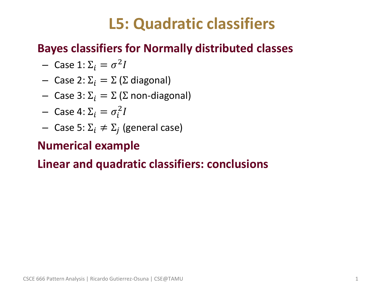### **L5: Quadratic classifiers**

### • **Bayes classifiers for Normally distributed classes**

- Case 1:  $\Sigma_i = \sigma^2 I$
- Case 2:  $\Sigma_i = \Sigma$  (Σ diagonal)
- Case 3:  $\Sigma_i = \Sigma$  (Σ non-diagonal)
- Case 4:  $\Sigma_i = \sigma_i^2 I$
- $-$  Case 5: Σ<sub>*i*</sub>  $\neq$  Σ<sub>*j*</sub> (general case)

### • **Numerical example**

### • **Linear and quadratic classifiers: conclusions**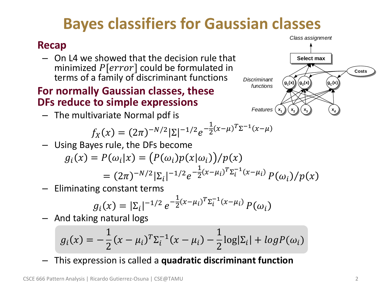### **Bayes classifiers for Gaussian classes**

#### • **Recap**

– On L4 we showed that the decision rule that minimized  $P[error]$  could be formulated in terms of a family of discriminant functions

#### • **For normally Gaussian classes, these DFs reduce to simple expressions**

– The multivariate Normal pdf is

$$
f_X(x) = (2\pi)^{-N/2} |\Sigma|^{-1/2} e^{-\frac{1}{2}(x-\mu)^T \Sigma^{-1} (x-\mu)}
$$

– Using Bayes rule, the DFs become

$$
g_i(x) = P(\omega_i|x) = (P(\omega_i)p(x|\omega_i))/p(x)
$$
  
=  $(2\pi)^{-N/2} |\Sigma_i|^{-1/2} e^{-\frac{1}{2}(x-\mu_i)^T \Sigma_i^{-1}(x-\mu_i)} P(\omega_i)/p(x)$ 

– Eliminating constant terms

$$
g_i(x) = |\Sigma_i|^{-1/2} e^{-\frac{1}{2}(x-\mu_i)^T \Sigma_i^{-1}(x-\mu_i)} P(\omega_i)
$$

– And taking natural logs

$$
g_i(x) = -\frac{1}{2}(x - \mu_i)^T \Sigma_i^{-1} (x - \mu_i) - \frac{1}{2} \log |\Sigma_i| + \log P(\omega_i)
$$

– This expression is called a **quadratic discriminant function**



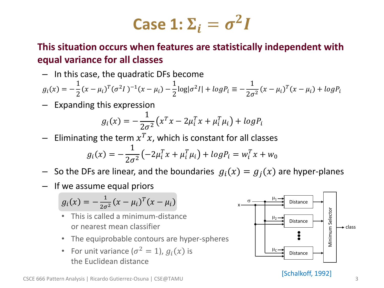# **Case 1:**  $\Sigma_i = \sigma^2 I$

#### • **This situation occurs when features are statistically independent with equal variance for all classes**

– In this case, the quadratic DFs become

$$
g_i(x) = -\frac{1}{2}(x - \mu_i)^T(\sigma^2 I)^{-1}(x - \mu_i) - \frac{1}{2}\log|\sigma^2 I| + \log P_i \equiv -\frac{1}{2\sigma^2}(x - \mu_i)^T(x - \mu_i) + \log P_i
$$

– Expanding this expression

$$
g_i(x) = -\frac{1}{2\sigma^2} \left( x^T x - 2\mu_i^T x + \mu_i^T \mu_i \right) + \log P_i
$$

 $-$  Eliminating the term  $x^T x$ , which is constant for all classes

$$
g_i(x) = -\frac{1}{2\sigma^2} \left( -2\mu_i^T x + \mu_i^T \mu_i \right) + \log P_i = w_i^T x + w_0
$$

- So the DFs are linear, and the boundaries  $g_i(x) = g_j(x)$  are hyper-planes
- If we assume equal priors

$$
g_i(x) = -\frac{1}{2\sigma^2}(x - \mu_i)^T(x - \mu_i)
$$

- This is called a minimum-distance or nearest mean classifier
- The equiprobable contours are hyper-spheres
- For unit variance  $(\sigma^2 = 1)$ ,  $g_i(x)$  is the Euclidean distance



[Schalkoff, 1992]

#### CSCE 666 Pattern Analysis | Ricardo Gutierrez-Osuna | CSE@TAMU 3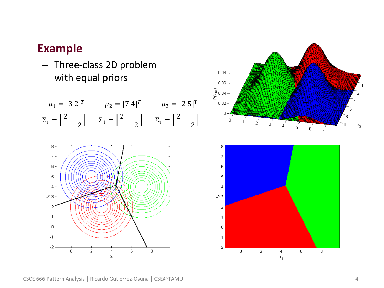– Three-class 2D problem with equal priors

$$
\mu_1 = \begin{bmatrix} 3 & 2 \end{bmatrix}^T \qquad \mu_2 = \begin{bmatrix} 7 & 4 \end{bmatrix}^T \qquad \mu_3 = \begin{bmatrix} 2 & 5 \end{bmatrix}^T
$$

$$
\Sigma_1 = \begin{bmatrix} 2 & 0 \end{bmatrix} \qquad \Sigma_1 = \begin{bmatrix} 2 & 0 \end{bmatrix} \qquad \Sigma_1 = \begin{bmatrix} 2 & 0 \end{bmatrix}
$$





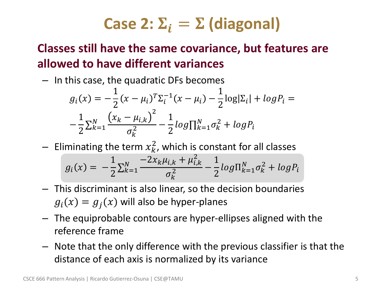## **Case 2:**  $\Sigma_i = \Sigma$  **(diagonal)**

### • **Classes still have the same covariance, but features are allowed to have different variances**

– In this case, the quadratic DFs becomes

$$
g_i(x) = -\frac{1}{2}(x - \mu_i)^T \Sigma_i^{-1} (x - \mu_i) - \frac{1}{2} \log|\Sigma_i| + \log P_i = -\frac{1}{2} \Sigma_{k=1}^N \frac{(x_k - \mu_{i,k})^2}{\sigma_k^2} - \frac{1}{2} \log \prod_{k=1}^N \sigma_k^2 + \log P_i
$$

 $-$  Eliminating the term  $x_k^2$ , which is constant for all classes

$$
g_i(x) = -\frac{1}{2} \sum_{k=1}^{N} \frac{-2x_k \mu_{i,k} + \mu_{i,k}^2}{\sigma_k^2} - \frac{1}{2} log \Pi_{k=1}^{N} \sigma_k^2 + log P_i
$$

- This discriminant is also linear, so the decision boundaries  $g_i(x) = g_j(x)$  will also be hyper-planes
- The equiprobable contours are hyper-ellipses aligned with the reference frame
- Note that the only difference with the previous classifier is that the distance of each axis is normalized by its variance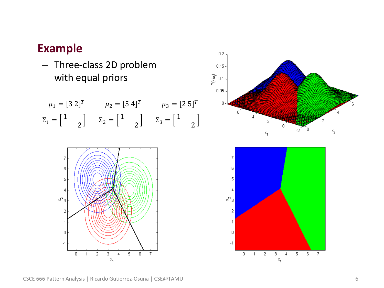– Three-class 2D problem with equal priors

$$
\mu_1 = \begin{bmatrix} 3 & 2 \end{bmatrix}^T \qquad \mu_2 = \begin{bmatrix} 5 & 4 \end{bmatrix}^T \qquad \mu_3 = \begin{bmatrix} 2 & 5 \end{bmatrix}^T
$$

$$
\Sigma_1 = \begin{bmatrix} 1 & \\ & 2 \end{bmatrix} \qquad \Sigma_2 = \begin{bmatrix} 1 & \\ & 2 \end{bmatrix} \qquad \Sigma_3 = \begin{bmatrix} 1 & \\ & 2 \end{bmatrix}
$$





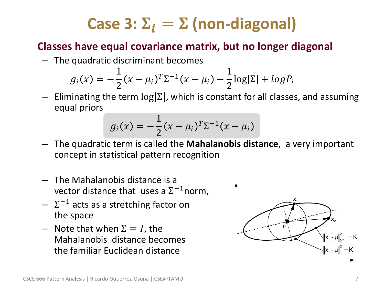## **Case 3:**  $\Sigma_i = \Sigma$  **(non-diagonal)**

### • **Classes have equal covariance matrix, but no longer diagonal**

– The quadratic discriminant becomes

$$
g_i(x) = -\frac{1}{2}(x - \mu_i)^T \Sigma^{-1} (x - \mu_i) - \frac{1}{2} \log|\Sigma| + \log P_i
$$

 $-$  Eliminating the term  $log|\Sigma|$ , which is constant for all classes, and assuming equal priors

$$
g_i(x) = -\frac{1}{2}(x - \mu_i)^T \Sigma^{-1} (x - \mu_i)
$$

- The quadratic term is called the **Mahalanobis distance**, a very important concept in statistical pattern recognition
- The Mahalanobis distance is a vector distance that uses a  $\Sigma^{-1}$ norm,
- $\Sigma^{-1}$  acts as a stretching factor on the space
- Note that when  $\Sigma = I$ , the Mahalanobis distance becomes the familiar Euclidean distance

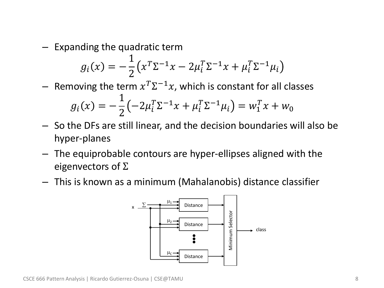– Expanding the quadratic term

$$
g_i(x) = -\frac{1}{2} \left( x^T \Sigma^{-1} x - 2\mu_i^T \Sigma^{-1} x + \mu_i^T \Sigma^{-1} \mu_i \right)
$$

 $-$  Removing the term  $x^T \Sigma^{-1} x$ , which is constant for all classes

$$
g_i(x) = -\frac{1}{2} \left( -2\mu_i^T \Sigma^{-1} x + \mu_i^T \Sigma^{-1} \mu_i \right) = w_1^T x + w_0
$$

- So the DFs are still linear, and the decision boundaries will also be hyper-planes
- The equiprobable contours are hyper-ellipses aligned with the eigenvectors of  $\Sigma$
- This is known as a minimum (Mahalanobis) distance classifier

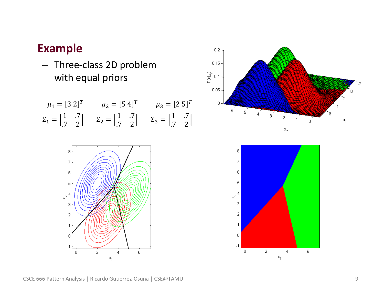– Three-class 2D problem with equal priors

$$
\mu_1 = [3 \ 2]^T
$$
\n $\mu_2 = [5 \ 4]^T$ \n $\mu_3 = [2 \ 5]^T$ \n  
\n $\Sigma_1 = \begin{bmatrix} 1 & .7 \\ .7 & 2 \end{bmatrix}$ \n $\Sigma_2 = \begin{bmatrix} 1 & .7 \\ .7 & 2 \end{bmatrix}$ \n $\Sigma_3 = \begin{bmatrix} 1 & .7 \\ .7 & 2 \end{bmatrix}$ 





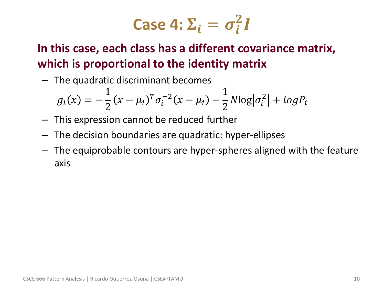Case 4: 
$$
\Sigma_i = \sigma_i^2 I
$$

• **In this case, each class has a different covariance matrix, which is proportional to the identity matrix**

– The quadratic discriminant becomes

$$
g_i(x) = -\frac{1}{2}(x - \mu_i)^T \sigma_i^{-2} (x - \mu_i) - \frac{1}{2} N \log |\sigma_i^2| + \log P_i
$$

- This expression cannot be reduced further
- The decision boundaries are quadratic: hyper-ellipses
- The equiprobable contours are hyper-spheres aligned with the feature axis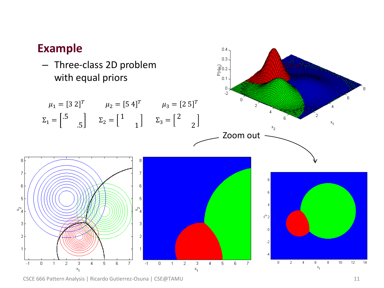

#### CSCE 666 Pattern Analysis | Ricardo Gutierrez-Osuna | CSE@TAMU 11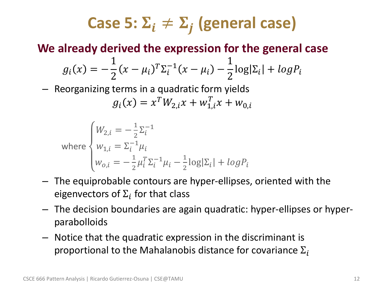## Case 5:  $\Sigma_i \neq \Sigma_j$  (general case)

### • **We already derived the expression for the general case**

$$
g_i(x) = -\frac{1}{2}(x - \mu_i)^T \Sigma_i^{-1} (x - \mu_i) - \frac{1}{2} \log|\Sigma_i| + \log P_i
$$

– Reorganizing terms in a quadratic form yields

$$
g_i(x) = x^T W_{2,i} x + w_{1,i}^T x + w_{0,i}
$$

where 
$$
\begin{cases} W_{2,i} = -\frac{1}{2} \Sigma_i^{-1} \\ w_{1,i} = \Sigma_i^{-1} \mu_i \\ w_{0,i} = -\frac{1}{2} \mu_i^T \Sigma_i^{-1} \mu_i - \frac{1}{2} \log|\Sigma_i| + \log P_i \end{cases}
$$

- The equiprobable contours are hyper-ellipses, oriented with the eigenvectors of  $\Sigma_i$  for that class
- The decision boundaries are again quadratic: hyper-ellipses or hyperparabolloids
- Notice that the quadratic expression in the discriminant is proportional to the Mahalanobis distance for covariance  $\Sigma_i$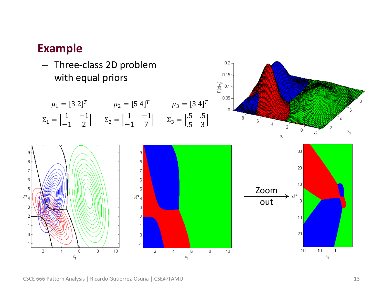– Three-class 2D problem with equal priors

$$
\mu_1 = [3 \ 2]^T
$$
\n $\mu_2 = [5 \ 4]^T$ \n $\mu_3 = [3 \ 4]^T$ \n  
\n $\Sigma_1 = \begin{bmatrix} 1 & -1 \\ -1 & 2 \end{bmatrix}$ \n $\Sigma_2 = \begin{bmatrix} 1 & -1 \\ -1 & 7 \end{bmatrix}$ \n $\Sigma_3 = \begin{bmatrix} .5 & .5 \\ .5 & 3 \end{bmatrix}$ 



 $\,0\,$ 

 $-20$ 

 $-10$ 

 $x_1$ 

 $\mathbf 0$ 

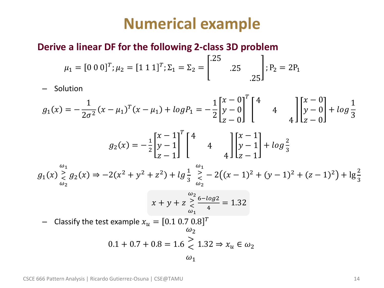### **Numerical example**

#### • **Derive a linear DF for the following 2-class 3D problem**

$$
\mu_1 = [0 \ 0 \ 0]^T; \mu_2 = [1 \ 1 \ 1]^T; \Sigma_1 = \Sigma_2 = \begin{bmatrix} .25 \\ .25 \\ .25 \end{bmatrix}; P_2 = 2P_1
$$

– Solution

$$
g_1(x) = -\frac{1}{2\sigma^2}(x - \mu_1)^T(x - \mu_1) + \log P_1 = -\frac{1}{2}\begin{bmatrix} x - 0 \\ y - 0 \end{bmatrix}^T \begin{bmatrix} 4 \\ 4 \\ z - 0 \end{bmatrix} \begin{bmatrix} x - 0 \\ y - 0 \end{bmatrix} + \log \frac{1}{3}
$$

$$
g_2(x) = -\frac{1}{2}\begin{bmatrix} x - 1 \\ y - 1 \end{bmatrix}^T \begin{bmatrix} 4 \\ 4 \\ z - 1 \end{bmatrix} \begin{bmatrix} x - 1 \\ y - 1 \end{bmatrix} + \log \frac{2}{3}
$$

$$
g_1(x) \underset{\omega_2}{\geq} g_2(x) \Rightarrow -2(x^2 + y^2 + z^2) + \log \frac{1}{3} \underset{\omega_2}{\geq} -2((x - 1)^2 + (y - 1)^2 + (z - 1)^2) + \log \frac{2}{3}
$$

$$
x + y + z \overset{\omega_2}{\underset{\omega_1}{\rightleftharpoons}} \frac{6 - \log 2}{4} = 1.32
$$

 $\,$  Classify the test example  $x_u=[0.1 \ 0.7 \ 0.8]^T$ 

$$
\omega_2
$$
  
0.1 + 0.7 + 0.8 = 1.6  $\ge$  1.32  $\Rightarrow$   $x_u \in \omega_2$   
 $\omega_1$